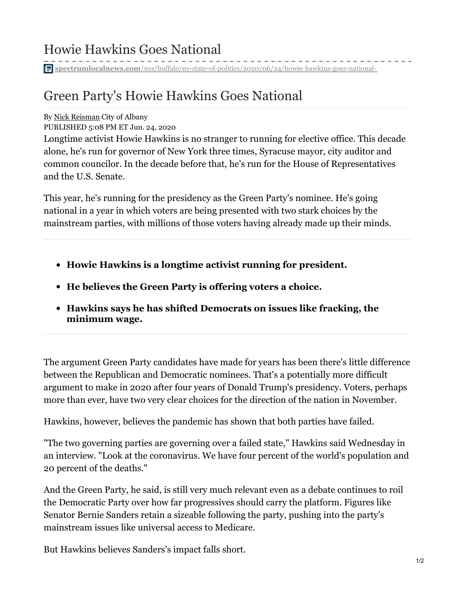**spectrumlocalnews.com**[/nys/buffalo/ny-state-of-politics/2020/06/24/howie-hawkins-goes-national-](https://spectrumlocalnews.com/nys/buffalo/ny-state-of-politics/2020/06/24/howie-hawkins-goes-national-)

## Green Party's Howie Hawkins Goes National

## By Nick [Reisman](https://spectrumlocalnews.com/nys/central-ny/capital-tonight-team/2017/09/18/nick-reisman) City of Albany

PUBLISHED 5:08 PM ET Jun. 24, 2020

Longtime activist Howie Hawkins is no stranger to running for elective office. This decade alone, he's run for governor of New York three times, Syracuse mayor, city auditor and common councilor. In the decade before that, he's run for the House of Representatives and the U.S. Senate.

This year, he's running for the presidency as the Green Party's nominee. He's going national in a year in which voters are being presented with two stark choices by the mainstream parties, with millions of those voters having already made up their minds.

- **Howie Hawkins is a longtime activist running for president.**
- **He believes the Green Party is offering voters a choice.**
- **Hawkins says he has shifted Democrats on issues like fracking, the minimum wage.**

The argument Green Party candidates have made for years has been there's little difference between the Republican and Democratic nominees. That's a potentially more difficult argument to make in 2020 after four years of Donald Trump's presidency. Voters, perhaps more than ever, have two very clear choices for the direction of the nation in November.

Hawkins, however, believes the pandemic has shown that both parties have failed.

"The two governing parties are governing over a failed state," Hawkins said Wednesday in an interview. "Look at the coronavirus. We have four percent of the world's population and 20 percent of the deaths."

And the Green Party, he said, is still very much relevant even as a debate continues to roil the Democratic Party over how far progressives should carry the platform. Figures like Senator Bernie Sanders retain a sizeable following the party, pushing into the party's mainstream issues like universal access to Medicare.

But Hawkins believes Sanders's impact falls short.